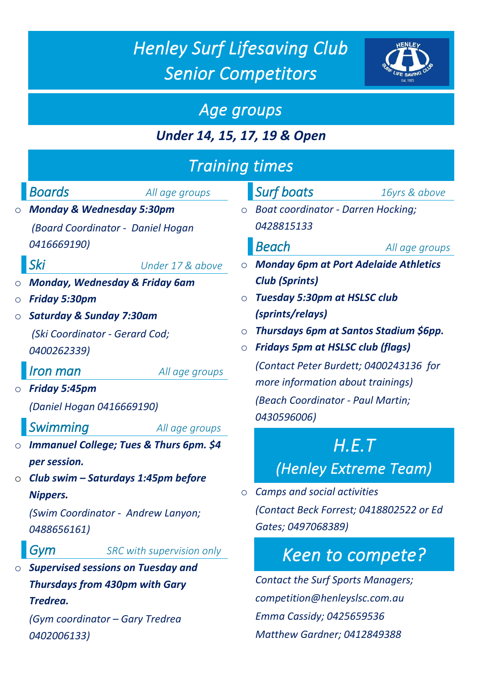# *Henley Surf Lifesaving Club Senior Competitors*

**HENLEY** 



### *Under 14, 15, 17, 19 & Open*

|                                                                                                                                                                                                                                                                                                                                                                                                                    | <b>Training times</b>                                                                                                                                                                                                                                                                                                                                                                                                                                          |  |
|--------------------------------------------------------------------------------------------------------------------------------------------------------------------------------------------------------------------------------------------------------------------------------------------------------------------------------------------------------------------------------------------------------------------|----------------------------------------------------------------------------------------------------------------------------------------------------------------------------------------------------------------------------------------------------------------------------------------------------------------------------------------------------------------------------------------------------------------------------------------------------------------|--|
| Boards<br>All age groups<br><b>Monday &amp; Wednesday 5:30pm</b><br>$\circ$<br>(Board Coordinator - Daniel Hogan<br>0416669190)<br>Ski<br>Under 17 & above<br><b>Monday, Wednesday &amp; Friday 6am</b><br>$\circ$<br><b>Friday 5:30pm</b><br>$\bigcirc$<br><b>Saturday &amp; Sunday 7:30am</b><br>$\circ$<br>(Ski Coordinator - Gerard Cod;<br>0400262339)<br>Iron man<br>All age groups<br>$\circ$ Friday 5:45pm | <b>Surf boats</b><br>16yrs & above<br><b>Boat coordinator - Darren Hocking;</b><br>$\circ$<br>0428815133<br><b>Beach</b><br>All age groups<br><b>Monday 6pm at Port Adelaide Athletics</b><br><b>Club (Sprints)</b><br><b>Tuesday 5:30pm at HSLSC club</b><br>(sprints/relays)<br>Thursdays 6pm at Santos Stadium \$6pp.<br>$\circ$<br><b>Fridays 5pm at HSLSC club (flags)</b><br>(Contact Peter Burdett; 0400243136 for<br>more information about trainings) |  |
| (Daniel Hogan 0416669190)<br>Swimming<br>All age groups<br><b>Immanuel College; Tues &amp; Thurs 6pm. \$4</b><br>$\circ$<br>per session.<br>Club swim - Saturdays 1:45pm before                                                                                                                                                                                                                                    | (Beach Coordinator - Paul Martin;<br>0430596006)<br>H.E.T<br>(Henley Extreme Team)                                                                                                                                                                                                                                                                                                                                                                             |  |
| $\circ$<br><b>Nippers.</b><br>(Swim Coordinator - Andrew Lanyon;<br>0488656161)                                                                                                                                                                                                                                                                                                                                    | <b>Camps and social activities</b><br>(Contact Beck Forrest; 0418802522 or Ed<br>Gates; 0497068389)                                                                                                                                                                                                                                                                                                                                                            |  |
| Gym<br>SRC with supervision only<br><b>Supervised sessions on Tuesday and</b><br>$\circ$<br><b>Thursdays from 430pm with Gary</b><br>Tredrea.<br>(Gym coordinator – Gary Tredrea<br>0402006133)                                                                                                                                                                                                                    | Keen to compete?<br><b>Contact the Surf Sports Managers;</b><br>competition@henleyslsc.com.au<br>Emma Cassidy; 0425659536<br><b>Matthew Gardner; 0412849388</b>                                                                                                                                                                                                                                                                                                |  |